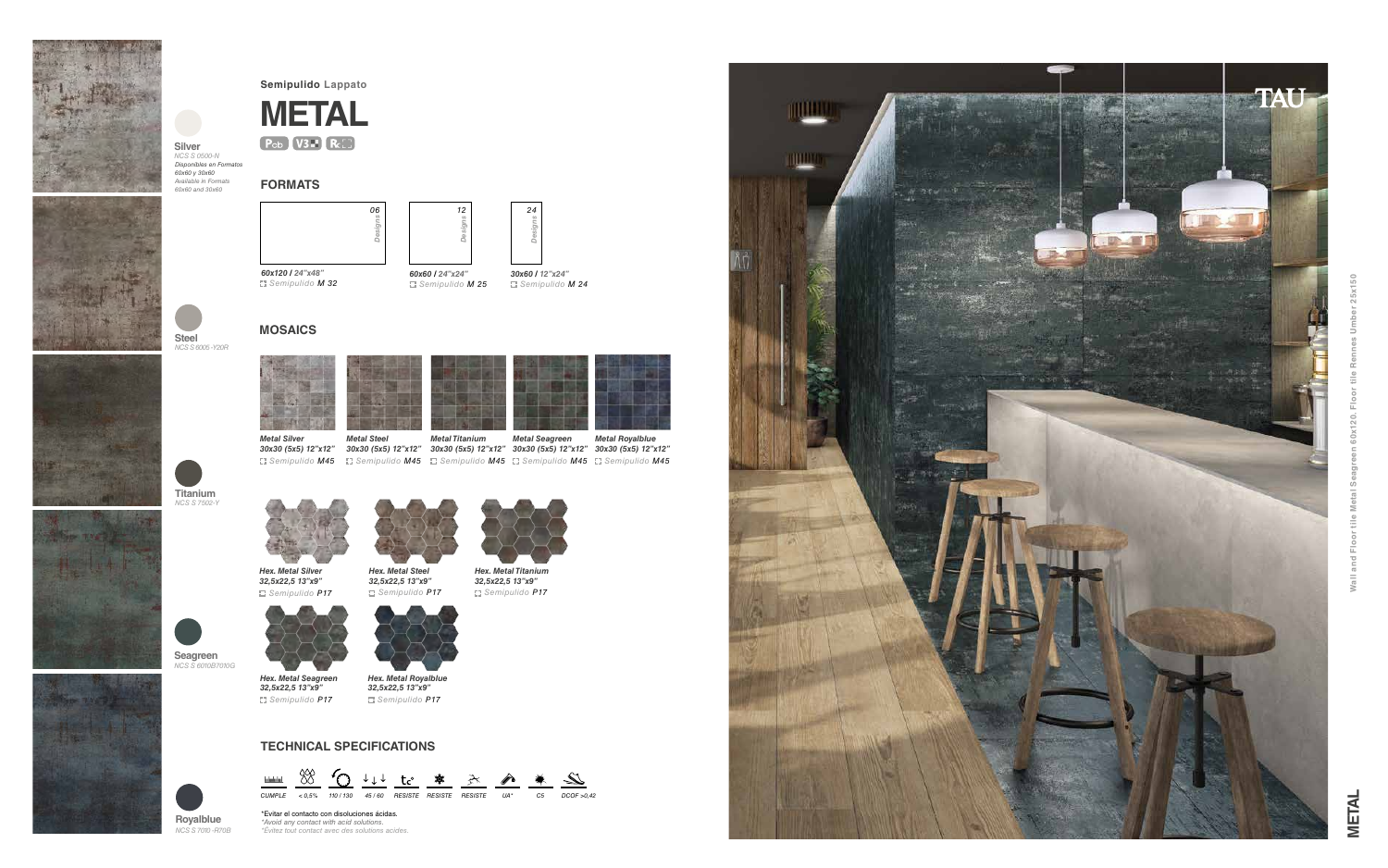## **FORMATS**

## **TECHNICAL SPECIFICATIONS**







*Semipulido M 32 Semipulido M 25 Semipulido M 24*

*60x120 / 24"x48" 60x60 / 24"x24" 30x60 / 12"x24"* 







**Semipulido Lappato**

**MOSAICS**



*Metal Steel* 

*Metal Titanium* 



*32,5x22,5 13"x9" Semipulido P17*



*Hex. Metal Titanium 32,5x22,5 13"x9" Semipulido P17*





*Metal Silver* 









*Hex. Metal Silver 32,5x22,5 13"x9"*



*Metal Seagreen Metal Royalblue* 

*Hex. Metal Seagreen 32,5x22,5 13"x9"*

*Hex. Metal Royalblue 32,5x22,5 13"x9" Semipulido P17 Semipulido P17*



**Titanium** *NCS S 7502-Y*

**Seagreen** *NCS S 6010B7010G*

**Royalblue** *NCS S 7010 -R70B*





**Silver** *NCS S 0500-N Disponibles en Formatos 60x60 y 30x60 Available in Formats 60x60 and 30x60*



\*Evitar el contacto con disoluciones ácidas. *\*Avoid any contact with acid solutions. \*Évitez tout contact avec des solutions acides.*



 $50$ **Wall and Floor tile Metal Seagreen 60x120. Floor tile Rennes Umber 25x150** io<br>N ഄഀ  $eta$  $\leq$ tile I 囸  $Wall$